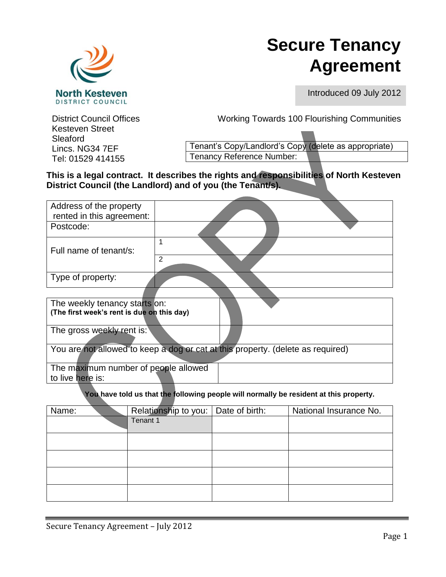

# **Secure Tenancy Agreement**

Introduced 09 July 2012

Kesteven Street Sleaford Lincs. NG34 7EF Tel: 01529 414155

District Council Offices Working Towards 100 Flourishing Communities

Tenant's Copy/Landlord's Copy (delete as appropriate) Tenancy Reference Number:

**This is a legal contract. It describes the rights and responsibilities of North Kesteven District Council (the Landlord) and of you (the Tenant/s).** 

| Address of the property<br>rented in this agreement:                                   |                                       |  |                        |  |  |
|----------------------------------------------------------------------------------------|---------------------------------------|--|------------------------|--|--|
| Postcode:                                                                              |                                       |  |                        |  |  |
| Full name of tenant/s:                                                                 | 1<br>$\overline{2}$                   |  |                        |  |  |
| Type of property:                                                                      |                                       |  |                        |  |  |
| The weekly tenancy starts on:<br>(The first week's rent is due on this day)            |                                       |  |                        |  |  |
| The gross weekly rent is:                                                              |                                       |  |                        |  |  |
| You are not allowed to keep a dog or cat at this property. (delete as required)        |                                       |  |                        |  |  |
| The maximum number of people allowed<br>to live here is:                               |                                       |  |                        |  |  |
| You have told us that the following people will normally be resident at this property. |                                       |  |                        |  |  |
| Name:                                                                                  | Relationship to you:   Date of birth: |  | National Insurance No. |  |  |
|                                                                                        | Tenant 1                              |  |                        |  |  |
|                                                                                        |                                       |  |                        |  |  |
|                                                                                        |                                       |  |                        |  |  |
|                                                                                        |                                       |  |                        |  |  |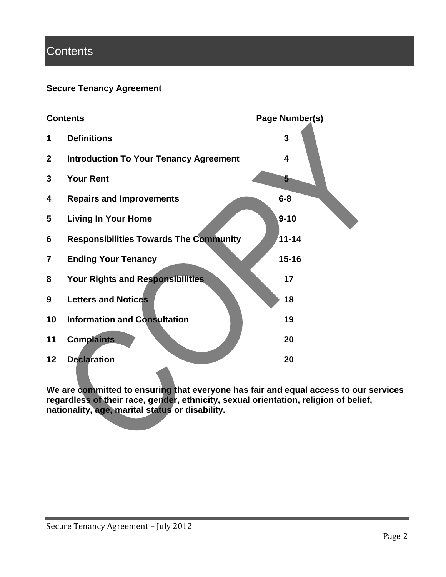# **Contents**

# **Secure Tenancy Agreement**



**We are committed to ensuring that everyone has fair and equal access to our services regardless of their race, gender, ethnicity, sexual orientation, religion of belief, nationality, age, marital status or disability.**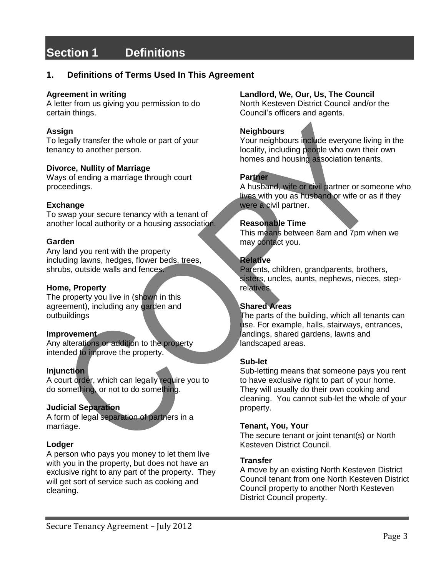# **Section 1 Definitions**

# **1. Definitions of Terms Used In This Agreement**

#### **Agreement in writing**

A letter from us giving you permission to do certain things.

### **Assign**

To legally transfer the whole or part of your tenancy to another person.

#### **Divorce, Nullity of Marriage**

Ways of ending a marriage through court proceedings.

#### **Exchange**

To swap your secure tenancy with a tenant of another local authority or a housing association.

#### **Garden**

Any land you rent with the property including lawns, hedges, flower beds, trees, shrubs, outside walls and fences.

#### **Home, Property**

The property you live in (shown in this agreement), including any garden and outbuildings

#### **Improvement**

Any alterations or addition to the property intended to improve the property.

### **Injunction**

A court order, which can legally require you to do something, or not to do something.

### **Judicial Separation**

A form of legal separation of partners in a marriage.

### **Lodger**

A person who pays you money to let them live with you in the property, but does not have an exclusive right to any part of the property. They will get sort of service such as cooking and cleaning.

### **Landlord, We, Our, Us, The Council**

North Kesteven District Council and/or the Council's officers and agents.

# **Neighbours**

Your neighbours include everyone living in the locality, including people who own their own homes and housing association tenants.

# **Partner**

A husband, wife or civil partner or someone who lives with you as husband or wife or as if they were a civil partner.

#### **Reasonable Time**

This means between 8am and 7pm when we may contact you.

### **Relative**

Parents, children, grandparents, brothers, sisters, uncles, aunts, nephews, nieces, steprelatives.

#### **Shared Areas**

The parts of the building, which all tenants can use. For example, halls, stairways, entrances, landings, shared gardens, lawns and landscaped areas.

#### **Sub-let**

Sub-letting means that someone pays you rent to have exclusive right to part of your home. They will usually do their own cooking and cleaning. You cannot sub-let the whole of your property.

#### **Tenant, You, Your**

The secure tenant or joint tenant(s) or North Kesteven District Council.

#### **Transfer**

A move by an existing North Kesteven District Council tenant from one North Kesteven District Council property to another North Kesteven District Council property.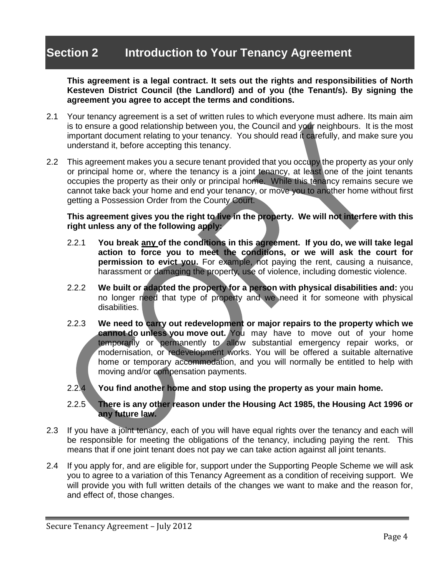# **Section 2 Introduction to Your Tenancy Agreement**

**This agreement is a legal contract. It sets out the rights and responsibilities of North Kesteven District Council (the Landlord) and of you (the Tenant/s). By signing the agreement you agree to accept the terms and conditions.** 

- 2.1 Your tenancy agreement is a set of written rules to which everyone must adhere. Its main aim is to ensure a good relationship between you, the Council and your neighbours. It is the most important document relating to your tenancy. You should read it carefully, and make sure you understand it, before accepting this tenancy.
- 2.2 This agreement makes you a secure tenant provided that you occupy the property as your only or principal home or, where the tenancy is a joint tenancy, at least one of the joint tenants occupies the property as their only or principal home. While this tenancy remains secure we cannot take back your home and end your tenancy, or move you to another home without first getting a Possession Order from the County Court.

**This agreement gives you the right to live in the property. We will not interfere with this right unless any of the following apply:**

- 2.2.1 **You break any of the conditions in this agreement. If you do, we will take legal action to force you to meet the conditions, or we will ask the court for permission to evict you.** For example, not paying the rent, causing a nuisance, harassment or damaging the property, use of violence, including domestic violence.
- 2.2.2 **We built or adapted the property for a person with physical disabilities and:** you no longer need that type of property and we need it for someone with physical disabilities.
- 2.2.3 **We need to carry out redevelopment or major repairs to the property which we cannot do unless you move out.** You may have to move out of your home temporarily or permanently to allow substantial emergency repair works, or modernisation, or redevelopment works. You will be offered a suitable alternative home or temporary accommodation, and you will normally be entitled to help with moving and/or compensation payments.
- 2.2.4 **You find another home and stop using the property as your main home.**

### 2.2.5 **There is any other reason under the Housing Act 1985, the Housing Act 1996 or any future law.**

- 2.3 If you have a joint tenancy, each of you will have equal rights over the tenancy and each will be responsible for meeting the obligations of the tenancy, including paying the rent. This means that if one joint tenant does not pay we can take action against all joint tenants.
- 2.4 If you apply for, and are eligible for, support under the Supporting People Scheme we will ask you to agree to a variation of this Tenancy Agreement as a condition of receiving support. We will provide you with full written details of the changes we want to make and the reason for, and effect of, those changes.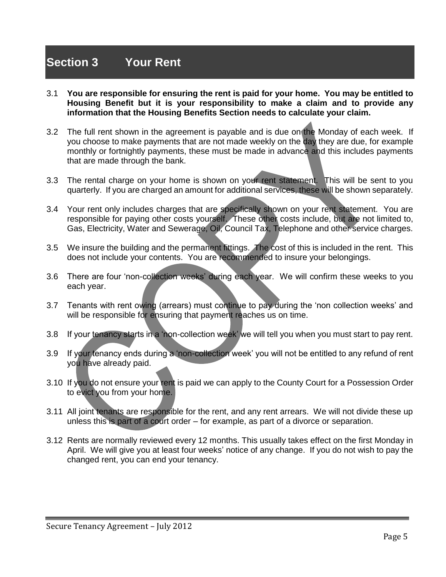# **Section 3 Your Rent**

- 3.1 **You are responsible for ensuring the rent is paid for your home. You may be entitled to Housing Benefit but it is your responsibility to make a claim and to provide any information that the Housing Benefits Section needs to calculate your claim.**
- 3.2 The full rent shown in the agreement is payable and is due on the Monday of each week. If you choose to make payments that are not made weekly on the day they are due, for example monthly or fortnightly payments, these must be made in advance and this includes payments that are made through the bank.
- 3.3 The rental charge on your home is shown on your rent statement. This will be sent to you quarterly. If you are charged an amount for additional services, these will be shown separately.
- 3.4 Your rent only includes charges that are specifically shown on your rent statement. You are responsible for paying other costs yourself. These other costs include, but are not limited to, Gas, Electricity, Water and Sewerage, Oil, Council Tax, Telephone and other service charges.
- 3.5 We insure the building and the permanent fittings. The cost of this is included in the rent. This does not include your contents. You are recommended to insure your belongings.
- 3.6 There are four 'non-collection weeks' during each year. We will confirm these weeks to you each year.
- 3.7 Tenants with rent owing (arrears) must continue to pay during the 'non collection weeks' and will be responsible for ensuring that payment reaches us on time.
- 3.8 If your tenancy starts in a 'non-collection week' we will tell you when you must start to pay rent.
- 3.9 If your tenancy ends during a 'non-collection week' you will not be entitled to any refund of rent you have already paid.
- 3.10 If you do not ensure your rent is paid we can apply to the County Court for a Possession Order to evict you from your home.
- 3.11 All joint tenants are responsible for the rent, and any rent arrears. We will not divide these up unless this is part of a court order – for example, as part of a divorce or separation.
- 3.12 Rents are normally reviewed every 12 months. This usually takes effect on the first Monday in April. We will give you at least four weeks' notice of any change. If you do not wish to pay the changed rent, you can end your tenancy.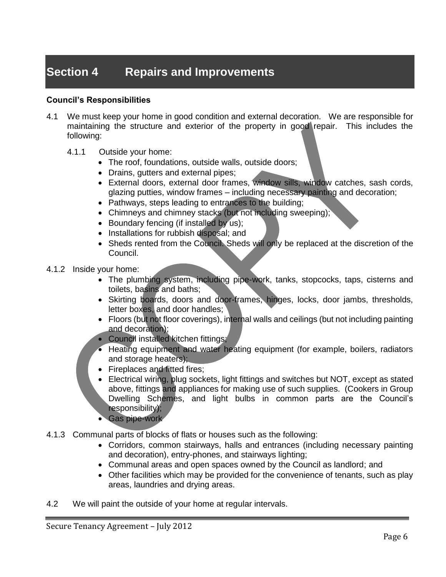# **Section 4 Repairs and Improvements**

# **Council's Responsibilities**

- 4.1 We must keep your home in good condition and external decoration. We are responsible for maintaining the structure and exterior of the property in good repair. This includes the following:
	- 4.1.1 Outside your home:
		- The roof, foundations, outside walls, outside doors;
		- Drains, gutters and external pipes;
		- External doors, external door frames, window sills, window catches, sash cords, glazing putties, window frames – including necessary painting and decoration;
		- Pathways, steps leading to entrances to the building;
		- Chimneys and chimney stacks (but not including sweeping);
		- Boundary fencing (if installed by us);
		- Installations for rubbish disposal; and
		- Sheds rented from the Council. Sheds will only be replaced at the discretion of the Council.
- 4.1.2 Inside your home:
	- The plumbing system, including pipe-work, tanks, stopcocks, taps, cisterns and toilets, basins and baths;
	- Skirting boards, doors and door-frames, hinges, locks, door jambs, thresholds, letter boxes, and door handles;
	- Floors (but not floor coverings), internal walls and ceilings (but not including painting and decoration);
	- Council installed kitchen fittings;
	- Heating equipment and water heating equipment (for example, boilers, radiators and storage heaters);
	- Fireplaces and fitted fires;
	- Electrical wiring, plug sockets, light fittings and switches but NOT, except as stated above, fittings and appliances for making use of such supplies. (Cookers in Group Dwelling Schemes, and light bulbs in common parts are the Council's responsibility);
	- Gas pipe-work
- 4.1.3 Communal parts of blocks of flats or houses such as the following:
	- Corridors, common stairways, halls and entrances (including necessary painting and decoration), entry-phones, and stairways lighting;
	- Communal areas and open spaces owned by the Council as landlord; and
	- Other facilities which may be provided for the convenience of tenants, such as play areas, laundries and drying areas.
- 4.2 We will paint the outside of your home at regular intervals.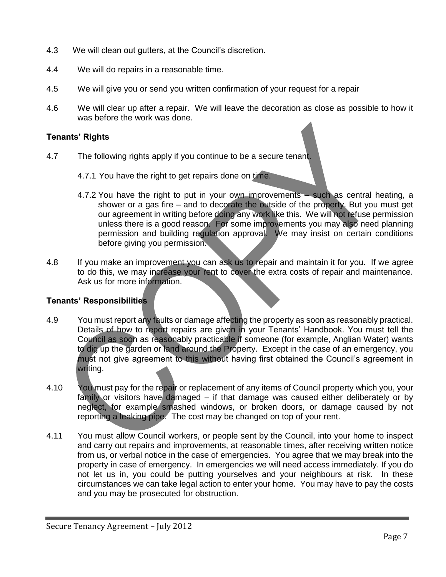- 4.3 We will clean out gutters, at the Council's discretion.
- 4.4 We will do repairs in a reasonable time.
- 4.5 We will give you or send you written confirmation of your request for a repair
- 4.6 We will clear up after a repair. We will leave the decoration as close as possible to how it was before the work was done.

# **Tenants' Rights**

- 4.7 The following rights apply if you continue to be a secure tenant.
	- 4.7.1 You have the right to get repairs done on time.
	- 4.7.2 You have the right to put in your own improvements such as central heating, a shower or a gas fire – and to decorate the outside of the property. But you must get our agreement in writing before doing any work like this. We will not refuse permission unless there is a good reason. For some improvements you may also need planning permission and building regulation approval. We may insist on certain conditions before giving you permission.
- 4.8 If you make an improvement you can ask us to repair and maintain it for you. If we agree to do this, we may increase your rent to cover the extra costs of repair and maintenance. Ask us for more information.

- 4.9 You must report any faults or damage affecting the property as soon as reasonably practical. Details of how to report repairs are given in your Tenants' Handbook. You must tell the Council as soon as reasonably practicable if someone (for example, Anglian Water) wants to dig up the garden or land around the Property. Except in the case of an emergency, you must not give agreement to this without having first obtained the Council's agreement in writing.
- 4.10 You must pay for the repair or replacement of any items of Council property which you, your family or visitors have damaged – if that damage was caused either deliberately or by neglect, for example smashed windows, or broken doors, or damage caused by not reporting a leaking pipe. The cost may be changed on top of your rent.
- 4.11 You must allow Council workers, or people sent by the Council, into your home to inspect and carry out repairs and improvements, at reasonable times, after receiving written notice from us, or verbal notice in the case of emergencies. You agree that we may break into the property in case of emergency. In emergencies we will need access immediately. If you do not let us in, you could be putting yourselves and your neighbours at risk. In these circumstances we can take legal action to enter your home. You may have to pay the costs and you may be prosecuted for obstruction.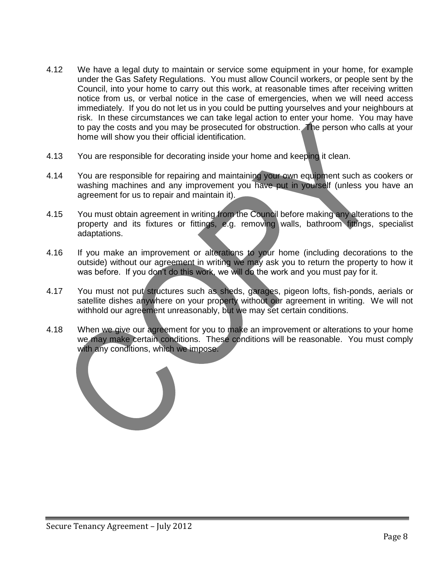- 4.12 We have a legal duty to maintain or service some equipment in your home, for example under the Gas Safety Regulations. You must allow Council workers, or people sent by the Council, into your home to carry out this work, at reasonable times after receiving written notice from us, or verbal notice in the case of emergencies, when we will need access immediately. If you do not let us in you could be putting yourselves and your neighbours at risk. In these circumstances we can take legal action to enter your home. You may have to pay the costs and you may be prosecuted for obstruction. The person who calls at your home will show you their official identification.
- 4.13 You are responsible for decorating inside your home and keeping it clean.
- 4.14 You are responsible for repairing and maintaining your own equipment such as cookers or washing machines and any improvement you have put in yourself (unless you have an agreement for us to repair and maintain it).
- 4.15 You must obtain agreement in writing from the Council before making any alterations to the property and its fixtures or fittings, e.g. removing walls, bathroom fittings, specialist adaptations.
- 4.16 If you make an improvement or alterations to your home (including decorations to the outside) without our agreement in writing we may ask you to return the property to how it was before. If you don't do this work, we will do the work and you must pay for it.
- 4.17 You must not put structures such as sheds, garages, pigeon lofts, fish-ponds, aerials or satellite dishes anywhere on your property without our agreement in writing. We will not withhold our agreement unreasonably, but we may set certain conditions.
- 4.18 When we give our agreement for you to make an improvement or alterations to your home we may make certain conditions. These conditions will be reasonable. You must comply with any conditions, which we impose.

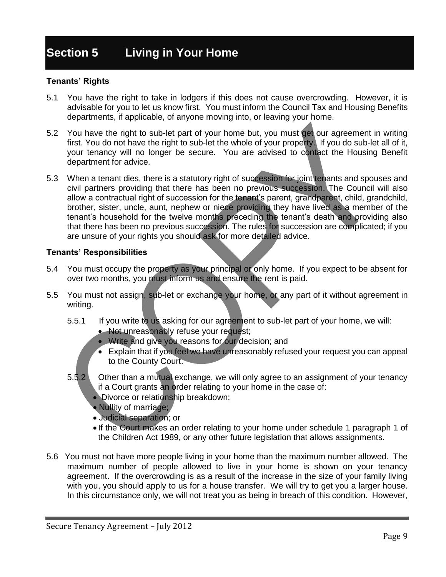# **Section 5 Living in Your Home**

### **Tenants' Rights**

- 5.1 You have the right to take in lodgers if this does not cause overcrowding. However, it is advisable for you to let us know first. You must inform the Council Tax and Housing Benefits departments, if applicable, of anyone moving into, or leaving your home.
- 5.2 You have the right to sub-let part of your home but, you must get our agreement in writing first. You do not have the right to sub-let the whole of your property. If you do sub-let all of it, your tenancy will no longer be secure. You are advised to contact the Housing Benefit department for advice.
- 5.3 When a tenant dies, there is a statutory right of succession for joint tenants and spouses and civil partners providing that there has been no previous succession. The Council will also allow a contractual right of succession for the tenant's parent, grandparent, child, grandchild, brother, sister, uncle, aunt, nephew or niece providing they have lived as a member of the tenant's household for the twelve months preceding the tenant's death and providing also that there has been no previous succession. The rules for succession are complicated; if you are unsure of your rights you should ask for more detailed advice.

- 5.4 You must occupy the property as your principal or only home. If you expect to be absent for over two months, you must inform us and ensure the rent is paid.
- 5.5 You must not assign, sub-let or exchange your home, or any part of it without agreement in writing.
	- 5.5.1 If you write to us asking for our agreement to sub-let part of your home, we will:
		- Not unreasonably refuse your request;
		- Write and give you reasons for our decision; and
		- Explain that if you feel we have unreasonably refused your request you can appeal to the County Court.
	- 5.5.2 Other than a mutual exchange, we will only agree to an assignment of your tenancy if a Court grants an order relating to your home in the case of:
		- Divorce or relationship breakdown;
		- Nullity of marriage;
		- Judicial separation; or
		- If the Court makes an order relating to your home under schedule 1 paragraph 1 of the Children Act 1989, or any other future legislation that allows assignments.
- 5.6 You must not have more people living in your home than the maximum number allowed. The maximum number of people allowed to live in your home is shown on your tenancy agreement. If the overcrowding is as a result of the increase in the size of your family living with you, you should apply to us for a house transfer. We will try to get you a larger house. In this circumstance only, we will not treat you as being in breach of this condition. However,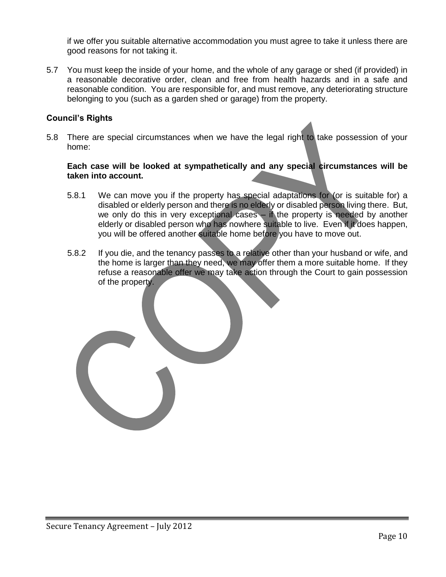if we offer you suitable alternative accommodation you must agree to take it unless there are good reasons for not taking it.

5.7 You must keep the inside of your home, and the whole of any garage or shed (if provided) in a reasonable decorative order, clean and free from health hazards and in a safe and reasonable condition. You are responsible for, and must remove, any deteriorating structure belonging to you (such as a garden shed or garage) from the property.

### **Council's Rights**

5.8 There are special circumstances when we have the legal right to take possession of your home:

### **Each case will be looked at sympathetically and any special circumstances will be taken into account.**

- 5.8.1 We can move you if the property has special adaptations for (or is suitable for) a disabled or elderly person and there is no elderly or disabled person living there. But, we only do this in very exceptional cases – if the property is needed by another elderly or disabled person who has nowhere suitable to live. Even if it does happen, you will be offered another suitable home before you have to move out.
- 5.8.2 If you die, and the tenancy passes to a relative other than your husband or wife, and the home is larger than they need, we may offer them a more suitable home. If they refuse a reasonable offer we may take action through the Court to gain possession of the property.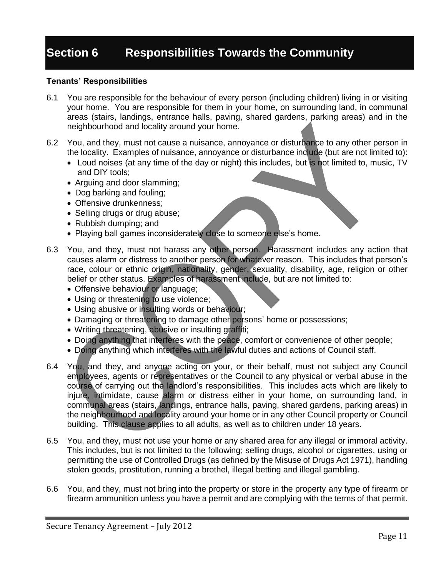# **Section 6 Responsibilities Towards the Community**

- 6.1 You are responsible for the behaviour of every person (including children) living in or visiting your home. You are responsible for them in your home, on surrounding land, in communal areas (stairs, landings, entrance halls, paving, shared gardens, parking areas) and in the neighbourhood and locality around your home.
- 6.2 You, and they, must not cause a nuisance, annoyance or disturbance to any other person in the locality. Examples of nuisance, annoyance or disturbance include (but are not limited to):
	- Loud noises (at any time of the day or night) this includes, but is not limited to, music, TV and DIY tools;
	- Arguing and door slamming;
	- Dog barking and fouling;
	- Offensive drunkenness:
	- Selling drugs or drug abuse;
	- Rubbish dumping; and
	- Playing ball games inconsiderately close to someone else's home.
- 6.3 You, and they, must not harass any other person. Harassment includes any action that causes alarm or distress to another person for whatever reason. This includes that person's race, colour or ethnic origin, nationality, gender, sexuality, disability, age, religion or other belief or other status. Examples of harassment include, but are not limited to:
	- Offensive behaviour or language;
	- Using or threatening to use violence;
	- Using abusive or insulting words or behaviour;
	- Damaging or threatening to damage other persons' home or possessions;
	- Writing threatening, abusive or insulting graffiti;
	- Doing anything that interferes with the peace, comfort or convenience of other people;
	- Doing anything which interferes with the lawful duties and actions of Council staff.
- 6.4 You, and they, and anyone acting on your, or their behalf, must not subject any Council employees, agents or representatives or the Council to any physical or verbal abuse in the course of carrying out the landlord's responsibilities. This includes acts which are likely to injure, intimidate, cause alarm or distress either in your home, on surrounding land, in communal areas (stairs, landings, entrance halls, paving, shared gardens, parking areas) in the neighbourhood and locality around your home or in any other Council property or Council building. This clause applies to all adults, as well as to children under 18 years.
- 6.5 You, and they, must not use your home or any shared area for any illegal or immoral activity. This includes, but is not limited to the following; selling drugs, alcohol or cigarettes, using or permitting the use of Controlled Drugs (as defined by the Misuse of Drugs Act 1971), handling stolen goods, prostitution, running a brothel, illegal betting and illegal gambling.
- 6.6 You, and they, must not bring into the property or store in the property any type of firearm or firearm ammunition unless you have a permit and are complying with the terms of that permit.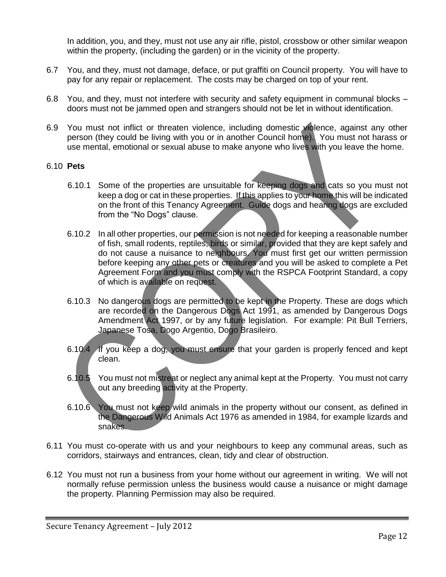In addition, you, and they, must not use any air rifle, pistol, crossbow or other similar weapon within the property, (including the garden) or in the vicinity of the property.

- 6.7 You, and they, must not damage, deface, or put graffiti on Council property. You will have to pay for any repair or replacement. The costs may be charged on top of your rent.
- 6.8 You, and they, must not interfere with security and safety equipment in communal blocks doors must not be jammed open and strangers should not be let in without identification.
- 6.9 You must not inflict or threaten violence, including domestic violence, against any other person (they could be living with you or in another Council home). You must not harass or use mental, emotional or sexual abuse to make anyone who lives with you leave the home.

### 6.10 **Pets**

- 6.10.1 Some of the properties are unsuitable for keeping dogs and cats so you must not keep a dog or cat in these properties. If this applies to your home this will be indicated on the front of this Tenancy Agreement. Guide dogs and hearing dogs are excluded from the "No Dogs" clause.
- 6.10.2 In all other properties, our permission is not needed for keeping a reasonable number of fish, small rodents, reptiles, birds or similar, provided that they are kept safely and do not cause a nuisance to neighbours. You must first get our written permission before keeping any other pets or creatures and you will be asked to complete a Pet Agreement Form and you must comply with the RSPCA Footprint Standard, a copy of which is available on request.
- 6.10.3 No dangerous dogs are permitted to be kept in the Property. These are dogs which are recorded on the Dangerous Dogs Act 1991, as amended by Dangerous Dogs Amendment Act 1997, or by any future legislation. For example: Pit Bull Terriers, Japanese Tosa, Dogo Argentio, Dogo Brasileiro.
- 6.10.4 If you keep a dog, you must ensure that your garden is properly fenced and kept clean.
- 6.10.5 You must not mistreat or neglect any animal kept at the Property. You must not carry out any breeding activity at the Property.
- 6.10.6 You must not keep wild animals in the property without our consent, as defined in the Dangerous Wild Animals Act 1976 as amended in 1984, for example lizards and snakes.
- 6.11 You must co-operate with us and your neighbours to keep any communal areas, such as corridors, stairways and entrances, clean, tidy and clear of obstruction.
- 6.12 You must not run a business from your home without our agreement in writing. We will not normally refuse permission unless the business would cause a nuisance or might damage the property. Planning Permission may also be required.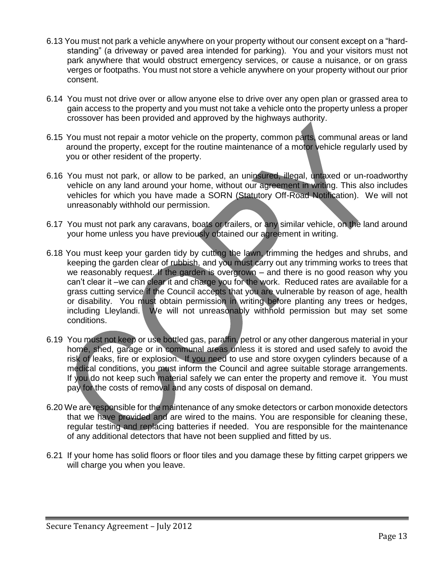- 6.13 You must not park a vehicle anywhere on your property without our consent except on a "hardstanding" (a driveway or paved area intended for parking). You and your visitors must not park anywhere that would obstruct emergency services, or cause a nuisance, or on grass verges or footpaths. You must not store a vehicle anywhere on your property without our prior consent.
- 6.14 You must not drive over or allow anyone else to drive over any open plan or grassed area to gain access to the property and you must not take a vehicle onto the property unless a proper crossover has been provided and approved by the highways authority.
- 6.15 You must not repair a motor vehicle on the property, common parts, communal areas or land around the property, except for the routine maintenance of a motor vehicle regularly used by you or other resident of the property.
- 6.16 You must not park, or allow to be parked, an uninsured, illegal, untaxed or un-roadworthy vehicle on any land around your home, without our agreement in writing. This also includes vehicles for which you have made a SORN (Statutory Off-Road Notification). We will not unreasonably withhold our permission.
- 6.17 You must not park any caravans, boats or trailers, or any similar vehicle, on the land around your home unless you have previously obtained our agreement in writing.
- 6.18 You must keep your garden tidy by cutting the lawn, trimming the hedges and shrubs, and keeping the garden clear of rubbish, and you must carry out any trimming works to trees that we reasonably request. If the garden is overgrown – and there is no good reason why you can't clear it –we can clear it and charge you for the work. Reduced rates are available for a grass cutting service if the Council accepts that you are vulnerable by reason of age, health or disability. You must obtain permission in writing before planting any trees or hedges, including Lleylandi. We will not unreasonably withhold permission but may set some conditions.
- 6.19 You must not keep or use bottled gas, paraffin, petrol or any other dangerous material in your home, shed, garage or in communal areas unless it is stored and used safely to avoid the risk of leaks, fire or explosion. If you need to use and store oxygen cylinders because of a medical conditions, you must inform the Council and agree suitable storage arrangements. If you do not keep such material safely we can enter the property and remove it. You must pay for the costs of removal and any costs of disposal on demand.
- 6.20 We are responsible for the maintenance of any smoke detectors or carbon monoxide detectors that we have provided and are wired to the mains. You are responsible for cleaning these, regular testing and replacing batteries if needed. You are responsible for the maintenance of any additional detectors that have not been supplied and fitted by us.
- 6.21 If your home has solid floors or floor tiles and you damage these by fitting carpet grippers we will charge you when you leave.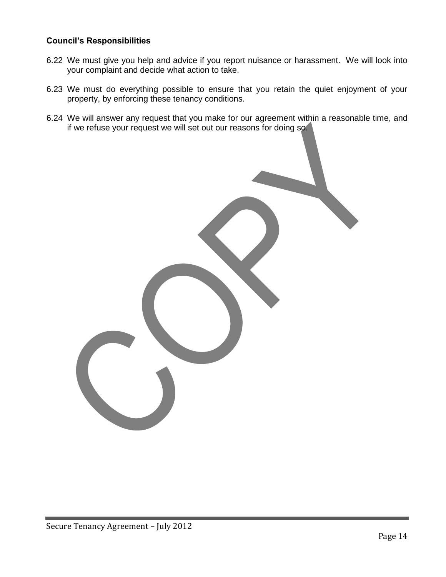# **Council's Responsibilities**

- 6.22 We must give you help and advice if you report nuisance or harassment. We will look into your complaint and decide what action to take.
- 6.23 We must do everything possible to ensure that you retain the quiet enjoyment of your property, by enforcing these tenancy conditions.
- 6.24 We will answer any request that you make for our agreement within a reasonable time, and if we refuse your request we will set out our reasons for doing so.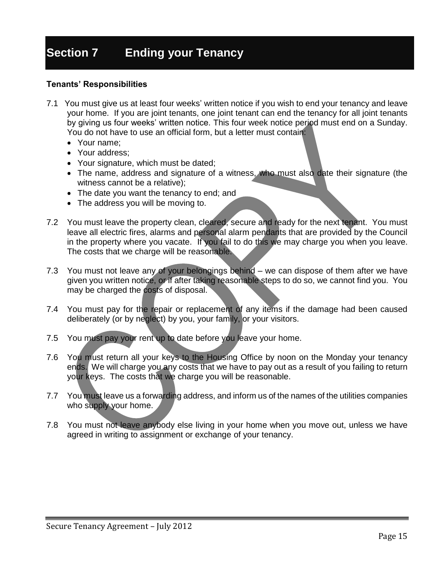# **Section 7 Ending your Tenancy**

- 7.1 You must give us at least four weeks' written notice if you wish to end your tenancy and leave your home. If you are joint tenants, one joint tenant can end the tenancy for all joint tenants by giving us four weeks' written notice. This four week notice period must end on a Sunday. You do not have to use an official form, but a letter must contain:
	- Your name;
	- Your address;
	- Your signature, which must be dated;
	- The name, address and signature of a witness, who must also date their signature (the witness cannot be a relative);
	- The date you want the tenancy to end; and
	- The address you will be moving to.
- 7.2 You must leave the property clean, cleared, secure and ready for the next tenant. You must leave all electric fires, alarms and personal alarm pendants that are provided by the Council in the property where you vacate. If you fail to do this we may charge you when you leave. The costs that we charge will be reasonable.
- 7.3 You must not leave any of your belongings behind we can dispose of them after we have given you written notice, or if after taking reasonable steps to do so, we cannot find you. You may be charged the costs of disposal.
- 7.4 You must pay for the repair or replacement of any items if the damage had been caused deliberately (or by neglect) by you, your family, or your visitors.
- 7.5 You must pay your rent up to date before you leave your home.
- 7.6 You must return all your keys to the Housing Office by noon on the Monday your tenancy ends. We will charge you any costs that we have to pay out as a result of you failing to return your keys. The costs that we charge you will be reasonable.
- 7.7 You must leave us a forwarding address, and inform us of the names of the utilities companies who supply your home.
- 7.8 You must not leave anybody else living in your home when you move out, unless we have agreed in writing to assignment or exchange of your tenancy.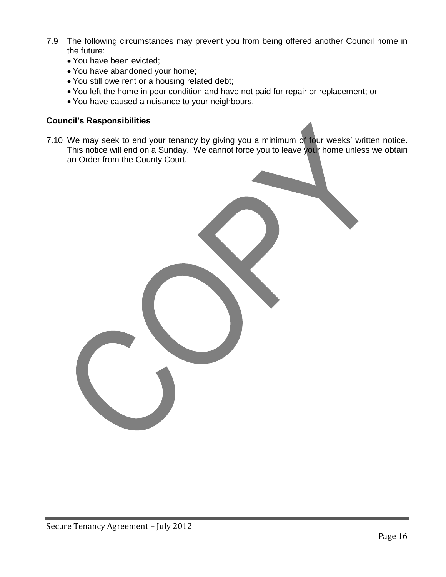- 7.9 The following circumstances may prevent you from being offered another Council home in the future:
	- You have been evicted;
	- You have abandoned your home;
	- You still owe rent or a housing related debt;
	- You left the home in poor condition and have not paid for repair or replacement; or
	- You have caused a nuisance to your neighbours.

### **Council's Responsibilities**

7.10 We may seek to end your tenancy by giving you a minimum of four weeks' written notice. This notice will end on a Sunday. We cannot force you to leave your home unless we obtain an Order from the County Court.

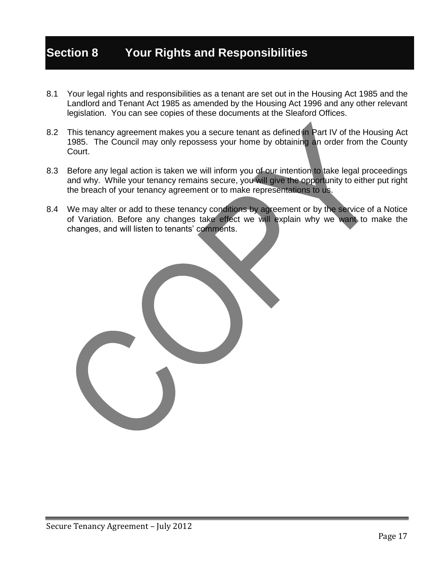# **Section 8 Your Rights and Responsibilities**

- 8.1 Your legal rights and responsibilities as a tenant are set out in the Housing Act 1985 and the Landlord and Tenant Act 1985 as amended by the Housing Act 1996 and any other relevant legislation. You can see copies of these documents at the Sleaford Offices.
- 8.2 This tenancy agreement makes you a secure tenant as defined in Part IV of the Housing Act 1985. The Council may only repossess your home by obtaining an order from the County Court.
- 8.3 Before any legal action is taken we will inform you of our intention to take legal proceedings and why. While your tenancy remains secure, you will give the opportunity to either put right the breach of your tenancy agreement or to make representations to us.
- 8.4 We may alter or add to these tenancy conditions by agreement or by the service of a Notice of Variation. Before any changes take effect we will explain why we want to make the changes, and will listen to tenants' comments.

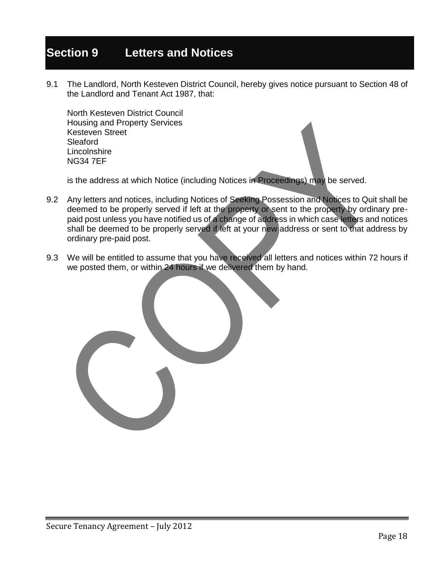# **Section 9 Letters and Notices**

9.1 The Landlord, North Kesteven District Council, hereby gives notice pursuant to Section 48 of the Landlord and Tenant Act 1987, that:

North Kesteven District Council Housing and Property Services Kesteven Street Sleaford **Lincolnshire** NG34 7EF

is the address at which Notice (including Notices in Proceedings) may be served.

- 9.2 Any letters and notices, including Notices of Seeking Possession and Notices to Quit shall be deemed to be properly served if left at the property or sent to the property by ordinary prepaid post unless you have notified us of a change of address in which case letters and notices shall be deemed to be properly served if left at your new address or sent to that address by ordinary pre-paid post.
- 9.3 We will be entitled to assume that you have received all letters and notices within 72 hours if we posted them, or within 24 hours if we delivered them by hand.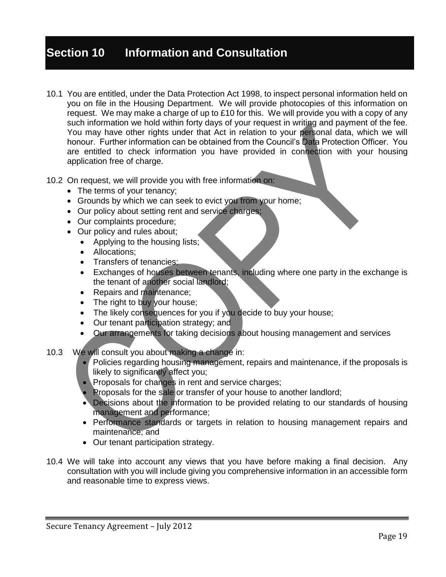# **Section 10 Information and Consultation**

- 10.1 You are entitled, under the Data Protection Act 1998, to inspect personal information held on you on file in the Housing Department. We will provide photocopies of this information on request. We may make a charge of up to £10 for this. We will provide you with a copy of any such information we hold within forty days of your request in writing and payment of the fee. You may have other rights under that Act in relation to your personal data, which we will honour. Further information can be obtained from the Council's Data Protection Officer. You are entitled to check information you have provided in connection with your housing application free of charge.
- 10.2 On request, we will provide you with free information on:
	- The terms of your tenancy;
	- Grounds by which we can seek to evict you from your home;
	- Our policy about setting rent and service charges;
	- Our complaints procedure;
	- Our policy and rules about;
		- Applying to the housing lists;
		- Allocations:
		- Transfers of tenancies:
		- Exchanges of houses between tenants, including where one party in the exchange is the tenant of another social landlord;
		- Repairs and maintenance;
		- The right to buy your house;
		- The likely consequences for you if you decide to buy your house;
		- Our tenant participation strategy; and
		- Our arrangements for taking decisions about housing management and services
- 10.3 We will consult you about making a change in:
	- Policies regarding housing management, repairs and maintenance, if the proposals is likely to significantly affect you;
	- Proposals for changes in rent and service charges;
	- Proposals for the sale or transfer of your house to another landlord;
	- Decisions about the information to be provided relating to our standards of housing management and performance;
	- Performance standards or targets in relation to housing management repairs and maintenance; and
	- Our tenant participation strategy.
- 10.4 We will take into account any views that you have before making a final decision. Any consultation with you will include giving you comprehensive information in an accessible form and reasonable time to express views.